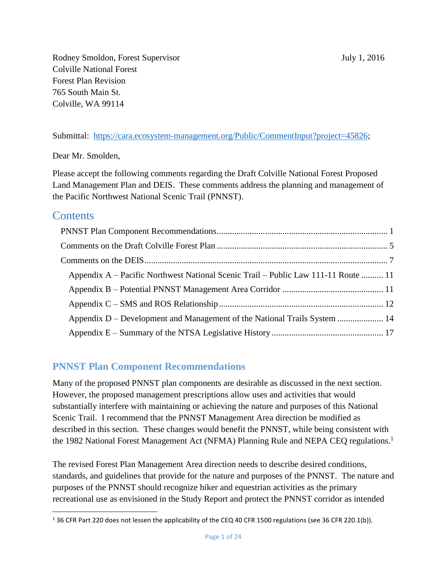Rodney Smoldon, Forest Supervisor **Figure 1, 2016** July 1, 2016 Colville National Forest Forest Plan Revision 765 South Main St. Colville, WA 99114

Submittal: [https://cara.ecosystem-management.org/Public/CommentInput?project=45826;](https://cara.ecosystem-management.org/Public/CommentInput?project=45826)

Dear Mr. Smolden,

Please accept the following comments regarding the Draft Colville National Forest Proposed Land Management Plan and DEIS. These comments address the planning and management of the Pacific Northwest National Scenic Trail (PNNST).

# **Contents**

| Appendix A – Pacific Northwest National Scenic Trail – Public Law 111-11 Route  11 |
|------------------------------------------------------------------------------------|
|                                                                                    |
|                                                                                    |
| Appendix D – Development and Management of the National Trails System  14          |
|                                                                                    |

# <span id="page-0-0"></span>**PNNST Plan Component Recommendations**

Many of the proposed PNNST plan components are desirable as discussed in the next section. However, the proposed management prescriptions allow uses and activities that would substantially interfere with maintaining or achieving the nature and purposes of this National Scenic Trail. I recommend that the PNNST Management Area direction be modified as described in this section. These changes would benefit the PNNST, while being consistent with the 1982 National Forest Management Act (NFMA) Planning Rule and NEPA CEQ regulations.<sup>1</sup>

The revised Forest Plan Management Area direction needs to describe desired conditions, standards, and guidelines that provide for the nature and purposes of the PNNST. The nature and purposes of the PNNST should recognize hiker and equestrian activities as the primary recreational use as envisioned in the Study Report and protect the PNNST corridor as intended

 $\overline{\phantom{a}}$ <sup>1</sup> 36 CFR Part 220 does not lessen the applicability of the CEQ 40 CFR 1500 regulations (see 36 CFR 220.1(b)).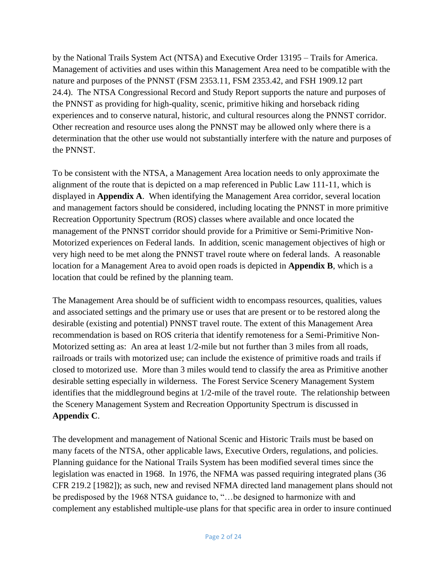by the National Trails System Act (NTSA) and Executive Order 13195 – Trails for America. Management of activities and uses within this Management Area need to be compatible with the nature and purposes of the PNNST (FSM 2353.11, FSM 2353.42, and FSH 1909.12 part 24.4). The NTSA Congressional Record and Study Report supports the nature and purposes of the PNNST as providing for high-quality, scenic, primitive hiking and horseback riding experiences and to conserve natural, historic, and cultural resources along the PNNST corridor. Other recreation and resource uses along the PNNST may be allowed only where there is a determination that the other use would not substantially interfere with the nature and purposes of the PNNST.

To be consistent with the NTSA, a Management Area location needs to only approximate the alignment of the route that is depicted on a map referenced in Public Law 111-11, which is displayed in **Appendix A**. When identifying the Management Area corridor, several location and management factors should be considered, including locating the PNNST in more primitive Recreation Opportunity Spectrum (ROS) classes where available and once located the management of the PNNST corridor should provide for a Primitive or Semi-Primitive Non-Motorized experiences on Federal lands. In addition, scenic management objectives of high or very high need to be met along the PNNST travel route where on federal lands. A reasonable location for a Management Area to avoid open roads is depicted in **Appendix B**, which is a location that could be refined by the planning team.

The Management Area should be of sufficient width to encompass resources, qualities, values and associated settings and the primary use or uses that are present or to be restored along the desirable (existing and potential) PNNST travel route. The extent of this Management Area recommendation is based on ROS criteria that identify remoteness for a Semi-Primitive Non-Motorized setting as: An area at least 1/2-mile but not further than 3 miles from all roads, railroads or trails with motorized use; can include the existence of primitive roads and trails if closed to motorized use. More than 3 miles would tend to classify the area as Primitive another desirable setting especially in wilderness. The Forest Service Scenery Management System identifies that the middleground begins at 1/2-mile of the travel route. The relationship between the Scenery Management System and Recreation Opportunity Spectrum is discussed in **Appendix C**.

The development and management of National Scenic and Historic Trails must be based on many facets of the NTSA, other applicable laws, Executive Orders, regulations, and policies. Planning guidance for the National Trails System has been modified several times since the legislation was enacted in 1968. In 1976, the NFMA was passed requiring integrated plans (36 CFR 219.2 [1982]); as such, new and revised NFMA directed land management plans should not be predisposed by the 1968 NTSA guidance to, "…be designed to harmonize with and complement any established multiple-use plans for that specific area in order to insure continued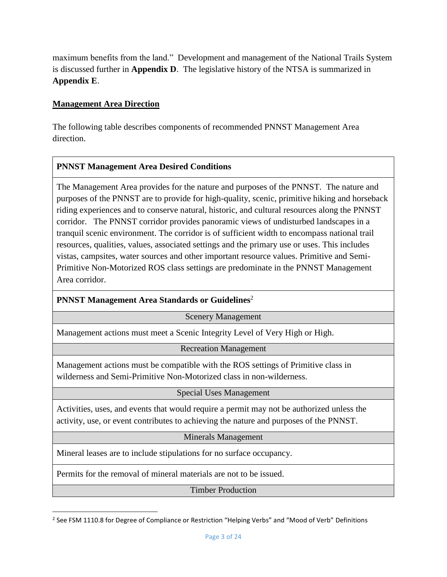maximum benefits from the land." Development and management of the National Trails System is discussed further in **Appendix D**. The legislative history of the NTSA is summarized in **Appendix E**.

## **Management Area Direction**

The following table describes components of recommended PNNST Management Area direction.

## **PNNST Management Area Desired Conditions**

The Management Area provides for the nature and purposes of the PNNST. The nature and purposes of the PNNST are to provide for high-quality, scenic, primitive hiking and horseback riding experiences and to conserve natural, historic, and cultural resources along the PNNST corridor. The PNNST corridor provides panoramic views of undisturbed landscapes in a tranquil scenic environment. The corridor is of sufficient width to encompass national trail resources, qualities, values, associated settings and the primary use or uses. This includes vistas, campsites, water sources and other important resource values. Primitive and Semi-Primitive Non-Motorized ROS class settings are predominate in the PNNST Management Area corridor.

# **PNNST Management Area Standards or Guidelines**<sup>2</sup>

Scenery Management

Management actions must meet a Scenic Integrity Level of Very High or High.

Recreation Management

Management actions must be compatible with the ROS settings of Primitive class in wilderness and Semi-Primitive Non-Motorized class in non-wilderness.

Special Uses Management

Activities, uses, and events that would require a permit may not be authorized unless the activity, use, or event contributes to achieving the nature and purposes of the PNNST.

Minerals Management

Mineral leases are to include stipulations for no surface occupancy.

Permits for the removal of mineral materials are not to be issued.

 $\overline{\phantom{a}}$ 

Timber Production

<sup>&</sup>lt;sup>2</sup> See FSM 1110.8 for Degree of Compliance or Restriction "Helping Verbs" and "Mood of Verb" Definitions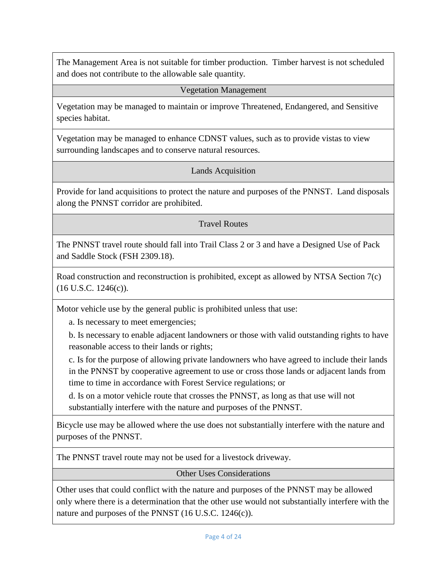The Management Area is not suitable for timber production. Timber harvest is not scheduled and does not contribute to the allowable sale quantity.

Vegetation Management

Vegetation may be managed to maintain or improve Threatened, Endangered, and Sensitive species habitat.

Vegetation may be managed to enhance CDNST values, such as to provide vistas to view surrounding landscapes and to conserve natural resources.

# Lands Acquisition

Provide for land acquisitions to protect the nature and purposes of the PNNST. Land disposals along the PNNST corridor are prohibited.

## Travel Routes

The PNNST travel route should fall into Trail Class 2 or 3 and have a Designed Use of Pack and Saddle Stock (FSH 2309.18).

Road construction and reconstruction is prohibited, except as allowed by NTSA Section 7(c)  $(16$  U.S.C.  $1246(c)$ ).

Motor vehicle use by the general public is prohibited unless that use:

a. Is necessary to meet emergencies;

b. Is necessary to enable adjacent landowners or those with valid outstanding rights to have reasonable access to their lands or rights;

c. Is for the purpose of allowing private landowners who have agreed to include their lands in the PNNST by cooperative agreement to use or cross those lands or adjacent lands from time to time in accordance with Forest Service regulations; or

d. Is on a motor vehicle route that crosses the PNNST, as long as that use will not substantially interfere with the nature and purposes of the PNNST.

Bicycle use may be allowed where the use does not substantially interfere with the nature and purposes of the PNNST.

The PNNST travel route may not be used for a livestock driveway.

#### Other Uses Considerations

Other uses that could conflict with the nature and purposes of the PNNST may be allowed only where there is a determination that the other use would not substantially interfere with the nature and purposes of the PNNST (16 U.S.C. 1246(c)).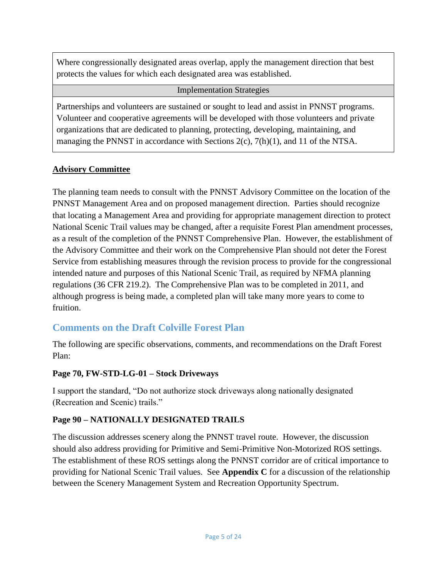Where congressionally designated areas overlap, apply the management direction that best protects the values for which each designated area was established.

#### Implementation Strategies

Partnerships and volunteers are sustained or sought to lead and assist in PNNST programs. Volunteer and cooperative agreements will be developed with those volunteers and private organizations that are dedicated to planning, protecting, developing, maintaining, and managing the PNNST in accordance with Sections 2(c), 7(h)(1), and 11 of the NTSA.

## **Advisory Committee**

The planning team needs to consult with the PNNST Advisory Committee on the location of the PNNST Management Area and on proposed management direction. Parties should recognize that locating a Management Area and providing for appropriate management direction to protect National Scenic Trail values may be changed, after a requisite Forest Plan amendment processes, as a result of the completion of the PNNST Comprehensive Plan. However, the establishment of the Advisory Committee and their work on the Comprehensive Plan should not deter the Forest Service from establishing measures through the revision process to provide for the congressional intended nature and purposes of this National Scenic Trail, as required by NFMA planning regulations (36 CFR 219.2). The Comprehensive Plan was to be completed in 2011, and although progress is being made, a completed plan will take many more years to come to fruition.

# <span id="page-4-0"></span>**Comments on the Draft Colville Forest Plan**

The following are specific observations, comments, and recommendations on the Draft Forest Plan:

#### **Page 70, FW-STD-LG-01 – Stock Driveways**

I support the standard, "Do not authorize stock driveways along nationally designated (Recreation and Scenic) trails."

#### **Page 90 – NATIONALLY DESIGNATED TRAILS**

The discussion addresses scenery along the PNNST travel route. However, the discussion should also address providing for Primitive and Semi-Primitive Non-Motorized ROS settings. The establishment of these ROS settings along the PNNST corridor are of critical importance to providing for National Scenic Trail values. See **Appendix C** for a discussion of the relationship between the Scenery Management System and Recreation Opportunity Spectrum.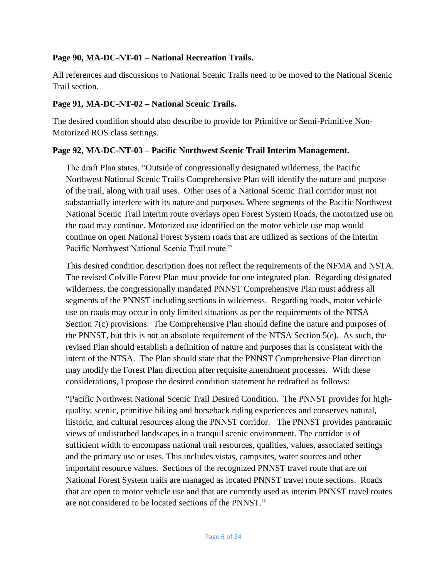#### **Page 90, MA-DC-NT-01 – National Recreation Trails.**

All references and discussions to National Scenic Trails need to be moved to the National Scenic Trail section.

## **Page 91, MA-DC-NT-02 – National Scenic Trails.**

The desired condition should also describe to provide for Primitive or Semi-Primitive Non-Motorized ROS class settings.

## **Page 92, MA-DC-NT-03 – Pacific Northwest Scenic Trail Interim Management.**

The draft Plan states, "Outside of congressionally designated wilderness, the Pacific Northwest National Scenic Trail's Comprehensive Plan will identify the nature and purpose of the trail, along with trail uses. Other uses of a National Scenic Trail corridor must not substantially interfere with its nature and purposes. Where segments of the Pacific Northwest National Scenic Trail interim route overlays open Forest System Roads, the motorized use on the road may continue. Motorized use identified on the motor vehicle use map would continue on open National Forest System roads that are utilized as sections of the interim Pacific Northwest National Scenic Trail route."

This desired condition description does not reflect the requirements of the NFMA and NSTA. The revised Colville Forest Plan must provide for one integrated plan. Regarding designated wilderness, the congressionally mandated PNNST Comprehensive Plan must address all segments of the PNNST including sections in wilderness. Regarding roads, motor vehicle use on roads may occur in only limited situations as per the requirements of the NTSA Section 7(c) provisions. The Comprehensive Plan should define the nature and purposes of the PNNST, but this is not an absolute requirement of the NTSA Section 5(e). As such, the revised Plan should establish a definition of nature and purposes that is consistent with the intent of the NTSA. The Plan should state that the PNNST Comprehensive Plan direction may modify the Forest Plan direction after requisite amendment processes. With these considerations, I propose the desired condition statement be redrafted as follows:

"Pacific Northwest National Scenic Trail Desired Condition. The PNNST provides for highquality, scenic, primitive hiking and horseback riding experiences and conserves natural, historic, and cultural resources along the PNNST corridor. The PNNST provides panoramic views of undisturbed landscapes in a tranquil scenic environment. The corridor is of sufficient width to encompass national trail resources, qualities, values, associated settings and the primary use or uses. This includes vistas, campsites, water sources and other important resource values. Sections of the recognized PNNST travel route that are on National Forest System trails are managed as located PNNST travel route sections. Roads that are open to motor vehicle use and that are currently used as interim PNNST travel routes are not considered to be located sections of the PNNST."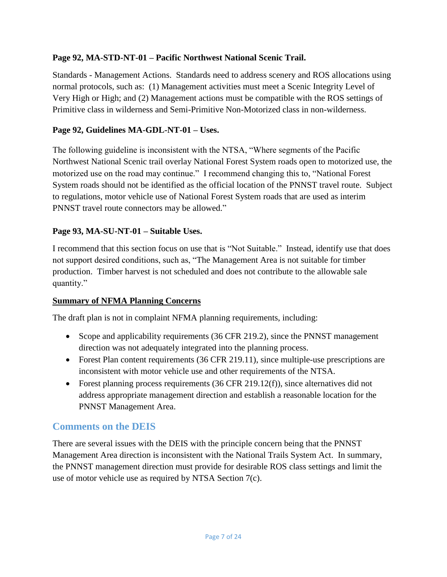# **Page 92, MA-STD-NT-01 – Pacific Northwest National Scenic Trail.**

Standards - Management Actions. Standards need to address scenery and ROS allocations using normal protocols, such as: (1) Management activities must meet a Scenic Integrity Level of Very High or High; and (2) Management actions must be compatible with the ROS settings of Primitive class in wilderness and Semi-Primitive Non-Motorized class in non-wilderness.

## **Page 92, Guidelines MA-GDL-NT-01 – Uses.**

The following guideline is inconsistent with the NTSA, "Where segments of the Pacific Northwest National Scenic trail overlay National Forest System roads open to motorized use, the motorized use on the road may continue." I recommend changing this to, "National Forest System roads should not be identified as the official location of the PNNST travel route. Subject to regulations, motor vehicle use of National Forest System roads that are used as interim PNNST travel route connectors may be allowed."

## **Page 93, MA-SU-NT-01 – Suitable Uses.**

I recommend that this section focus on use that is "Not Suitable." Instead, identify use that does not support desired conditions, such as, "The Management Area is not suitable for timber production. Timber harvest is not scheduled and does not contribute to the allowable sale quantity."

#### **Summary of NFMA Planning Concerns**

The draft plan is not in complaint NFMA planning requirements, including:

- Scope and applicability requirements (36 CFR 219.2), since the PNNST management direction was not adequately integrated into the planning process.
- Forest Plan content requirements (36 CFR 219.11), since multiple-use prescriptions are inconsistent with motor vehicle use and other requirements of the NTSA.
- Forest planning process requirements (36 CFR 219.12(f)), since alternatives did not address appropriate management direction and establish a reasonable location for the PNNST Management Area.

# <span id="page-6-0"></span>**Comments on the DEIS**

There are several issues with the DEIS with the principle concern being that the PNNST Management Area direction is inconsistent with the National Trails System Act. In summary, the PNNST management direction must provide for desirable ROS class settings and limit the use of motor vehicle use as required by NTSA Section 7(c).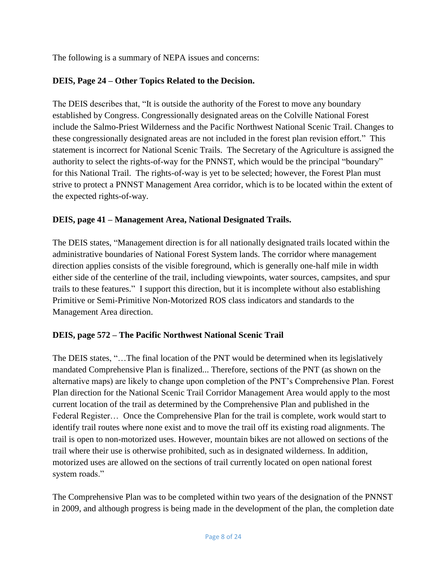The following is a summary of NEPA issues and concerns:

# **DEIS, Page 24 – Other Topics Related to the Decision.**

The DEIS describes that, "It is outside the authority of the Forest to move any boundary established by Congress. Congressionally designated areas on the Colville National Forest include the Salmo-Priest Wilderness and the Pacific Northwest National Scenic Trail. Changes to these congressionally designated areas are not included in the forest plan revision effort." This statement is incorrect for National Scenic Trails. The Secretary of the Agriculture is assigned the authority to select the rights-of-way for the PNNST, which would be the principal "boundary" for this National Trail. The rights-of-way is yet to be selected; however, the Forest Plan must strive to protect a PNNST Management Area corridor, which is to be located within the extent of the expected rights-of-way.

# **DEIS, page 41 – Management Area, National Designated Trails.**

The DEIS states, "Management direction is for all nationally designated trails located within the administrative boundaries of National Forest System lands. The corridor where management direction applies consists of the visible foreground, which is generally one-half mile in width either side of the centerline of the trail, including viewpoints, water sources, campsites, and spur trails to these features." I support this direction, but it is incomplete without also establishing Primitive or Semi-Primitive Non-Motorized ROS class indicators and standards to the Management Area direction.

# **DEIS, page 572 – The Pacific Northwest National Scenic Trail**

The DEIS states, "…The final location of the PNT would be determined when its legislatively mandated Comprehensive Plan is finalized... Therefore, sections of the PNT (as shown on the alternative maps) are likely to change upon completion of the PNT's Comprehensive Plan. Forest Plan direction for the National Scenic Trail Corridor Management Area would apply to the most current location of the trail as determined by the Comprehensive Plan and published in the Federal Register… Once the Comprehensive Plan for the trail is complete, work would start to identify trail routes where none exist and to move the trail off its existing road alignments. The trail is open to non-motorized uses. However, mountain bikes are not allowed on sections of the trail where their use is otherwise prohibited, such as in designated wilderness. In addition, motorized uses are allowed on the sections of trail currently located on open national forest system roads."

The Comprehensive Plan was to be completed within two years of the designation of the PNNST in 2009, and although progress is being made in the development of the plan, the completion date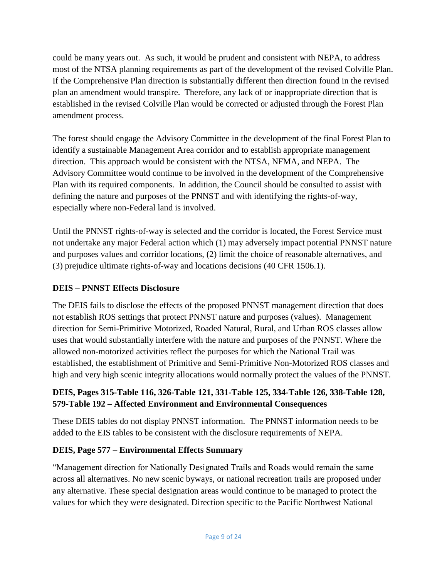could be many years out. As such, it would be prudent and consistent with NEPA, to address most of the NTSA planning requirements as part of the development of the revised Colville Plan. If the Comprehensive Plan direction is substantially different then direction found in the revised plan an amendment would transpire. Therefore, any lack of or inappropriate direction that is established in the revised Colville Plan would be corrected or adjusted through the Forest Plan amendment process.

The forest should engage the Advisory Committee in the development of the final Forest Plan to identify a sustainable Management Area corridor and to establish appropriate management direction. This approach would be consistent with the NTSA, NFMA, and NEPA. The Advisory Committee would continue to be involved in the development of the Comprehensive Plan with its required components. In addition, the Council should be consulted to assist with defining the nature and purposes of the PNNST and with identifying the rights-of-way, especially where non-Federal land is involved.

Until the PNNST rights-of-way is selected and the corridor is located, the Forest Service must not undertake any major Federal action which (1) may adversely impact potential PNNST nature and purposes values and corridor locations, (2) limit the choice of reasonable alternatives, and (3) prejudice ultimate rights-of-way and locations decisions (40 CFR 1506.1).

# **DEIS – PNNST Effects Disclosure**

The DEIS fails to disclose the effects of the proposed PNNST management direction that does not establish ROS settings that protect PNNST nature and purposes (values). Management direction for Semi-Primitive Motorized, Roaded Natural, Rural, and Urban ROS classes allow uses that would substantially interfere with the nature and purposes of the PNNST. Where the allowed non-motorized activities reflect the purposes for which the National Trail was established, the establishment of Primitive and Semi-Primitive Non-Motorized ROS classes and high and very high scenic integrity allocations would normally protect the values of the PNNST.

# **DEIS, Pages 315-Table 116, 326-Table 121, 331-Table 125, 334-Table 126, 338-Table 128, 579-Table 192 – Affected Environment and Environmental Consequences**

These DEIS tables do not display PNNST information. The PNNST information needs to be added to the EIS tables to be consistent with the disclosure requirements of NEPA.

# **DEIS, Page 577 – Environmental Effects Summary**

"Management direction for Nationally Designated Trails and Roads would remain the same across all alternatives. No new scenic byways, or national recreation trails are proposed under any alternative. These special designation areas would continue to be managed to protect the values for which they were designated. Direction specific to the Pacific Northwest National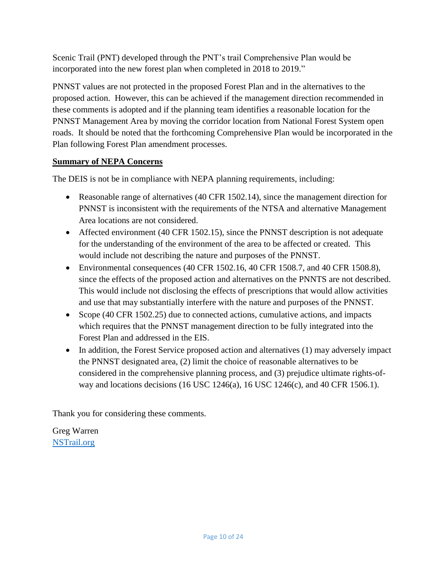Scenic Trail (PNT) developed through the PNT's trail Comprehensive Plan would be incorporated into the new forest plan when completed in 2018 to 2019."

PNNST values are not protected in the proposed Forest Plan and in the alternatives to the proposed action. However, this can be achieved if the management direction recommended in these comments is adopted and if the planning team identifies a reasonable location for the PNNST Management Area by moving the corridor location from National Forest System open roads. It should be noted that the forthcoming Comprehensive Plan would be incorporated in the Plan following Forest Plan amendment processes.

# **Summary of NEPA Concerns**

The DEIS is not be in compliance with NEPA planning requirements, including:

- Reasonable range of alternatives (40 CFR 1502.14), since the management direction for PNNST is inconsistent with the requirements of the NTSA and alternative Management Area locations are not considered.
- Affected environment (40 CFR 1502.15), since the PNNST description is not adequate for the understanding of the environment of the area to be affected or created. This would include not describing the nature and purposes of the PNNST.
- Environmental consequences (40 CFR 1502.16, 40 CFR 1508.7, and 40 CFR 1508.8), since the effects of the proposed action and alternatives on the PNNTS are not described. This would include not disclosing the effects of prescriptions that would allow activities and use that may substantially interfere with the nature and purposes of the PNNST.
- Scope (40 CFR 1502.25) due to connected actions, cumulative actions, and impacts which requires that the PNNST management direction to be fully integrated into the Forest Plan and addressed in the EIS.
- In addition, the Forest Service proposed action and alternatives (1) may adversely impact the PNNST designated area, (2) limit the choice of reasonable alternatives to be considered in the comprehensive planning process, and (3) prejudice ultimate rights-ofway and locations decisions (16 USC 1246(a), 16 USC 1246(c), and 40 CFR 1506.1).

Thank you for considering these comments.

Greg Warren [NSTrail.org](http://www.nstrail.org/)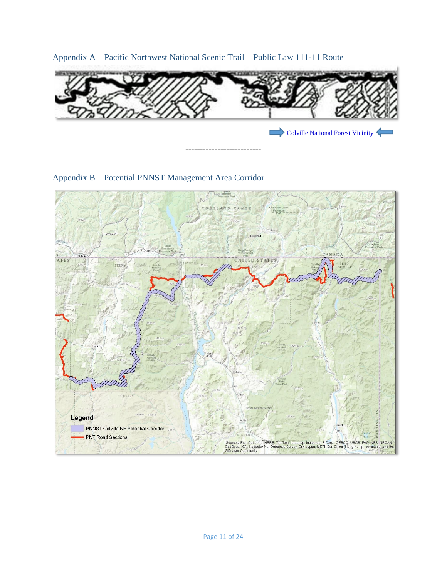

<span id="page-10-0"></span>Appendix A – Pacific Northwest National Scenic Trail – Public Law 111-11 Route

<span id="page-10-1"></span>

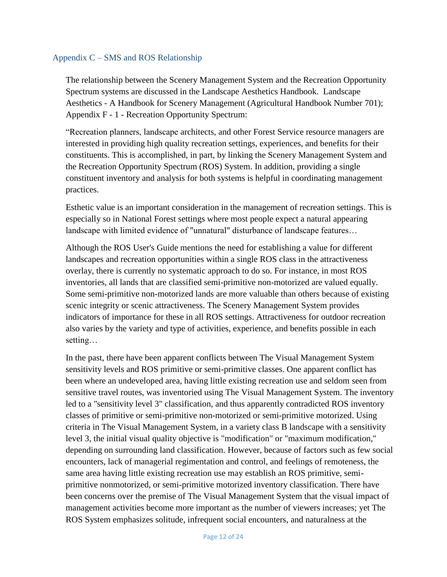#### <span id="page-11-0"></span>Appendix  $C - SMS$  and ROS Relationship

The relationship between the Scenery Management System and the Recreation Opportunity Spectrum systems are discussed in the Landscape Aesthetics Handbook. Landscape Aesthetics - A Handbook for Scenery Management (Agricultural Handbook Number 701); Appendix F - 1 - Recreation Opportunity Spectrum:

"Recreation planners, landscape architects, and other Forest Service resource managers are interested in providing high quality recreation settings, experiences, and benefits for their constituents. This is accomplished, in part, by linking the Scenery Management System and the Recreation Opportunity Spectrum (ROS) System. In addition, providing a single constituent inventory and analysis for both systems is helpful in coordinating management practices.

Esthetic value is an important consideration in the management of recreation settings. This is especially so in National Forest settings where most people expect a natural appearing landscape with limited evidence of "unnatural" disturbance of landscape features…

Although the ROS User's Guide mentions the need for establishing a value for different landscapes and recreation opportunities within a single ROS class in the attractiveness overlay, there is currently no systematic approach to do so. For instance, in most ROS inventories, all lands that are classified semi-primitive non-motorized are valued equally. Some semi-primitive non-motorized lands are more valuable than others because of existing scenic integrity or scenic attractiveness. The Scenery Management System provides indicators of importance for these in all ROS settings. Attractiveness for outdoor recreation also varies by the variety and type of activities, experience, and benefits possible in each setting…

In the past, there have been apparent conflicts between The Visual Management System sensitivity levels and ROS primitive or semi-primitive classes. One apparent conflict has been where an undeveloped area, having little existing recreation use and seldom seen from sensitive travel routes, was inventoried using The Visual Management System. The inventory led to a "sensitivity level 3" classification, and thus apparently contradicted ROS inventory classes of primitive or semi-primitive non-motorized or semi-primitive motorized. Using criteria in The Visual Management System, in a variety class B landscape with a sensitivity level 3, the initial visual quality objective is "modification" or "maximum modification," depending on surrounding land classification. However, because of factors such as few social encounters, lack of managerial regimentation and control, and feelings of remoteness, the same area having little existing recreation use may establish an ROS primitive, semiprimitive nonmotorized, or semi-primitive motorized inventory classification. There have been concerns over the premise of The Visual Management System that the visual impact of management activities become more important as the number of viewers increases; yet The ROS System emphasizes solitude, infrequent social encounters, and naturalness at the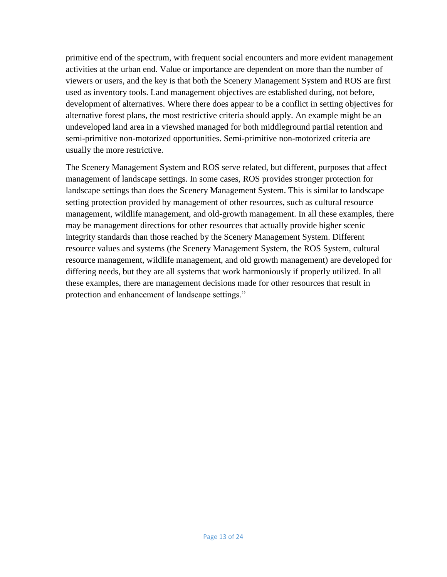primitive end of the spectrum, with frequent social encounters and more evident management activities at the urban end. Value or importance are dependent on more than the number of viewers or users, and the key is that both the Scenery Management System and ROS are first used as inventory tools. Land management objectives are established during, not before, development of alternatives. Where there does appear to be a conflict in setting objectives for alternative forest plans, the most restrictive criteria should apply. An example might be an undeveloped land area in a viewshed managed for both middleground partial retention and semi-primitive non-motorized opportunities. Semi-primitive non-motorized criteria are usually the more restrictive.

The Scenery Management System and ROS serve related, but different, purposes that affect management of landscape settings. In some cases, ROS provides stronger protection for landscape settings than does the Scenery Management System. This is similar to landscape setting protection provided by management of other resources, such as cultural resource management, wildlife management, and old-growth management. In all these examples, there may be management directions for other resources that actually provide higher scenic integrity standards than those reached by the Scenery Management System. Different resource values and systems (the Scenery Management System, the ROS System, cultural resource management, wildlife management, and old growth management) are developed for differing needs, but they are all systems that work harmoniously if properly utilized. In all these examples, there are management decisions made for other resources that result in protection and enhancement of landscape settings."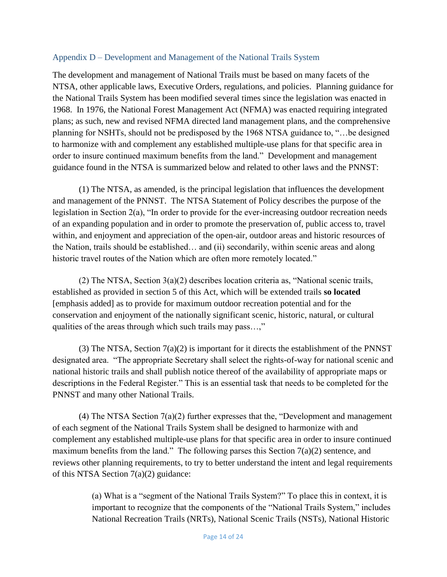#### <span id="page-13-0"></span>Appendix D – Development and Management of the National Trails System

The development and management of National Trails must be based on many facets of the NTSA, other applicable laws, Executive Orders, regulations, and policies. Planning guidance for the National Trails System has been modified several times since the legislation was enacted in 1968. In 1976, the National Forest Management Act (NFMA) was enacted requiring integrated plans; as such, new and revised NFMA directed land management plans, and the comprehensive planning for NSHTs, should not be predisposed by the 1968 NTSA guidance to, "…be designed to harmonize with and complement any established multiple-use plans for that specific area in order to insure continued maximum benefits from the land." Development and management guidance found in the NTSA is summarized below and related to other laws and the PNNST:

(1) The NTSA, as amended, is the principal legislation that influences the development and management of the PNNST. The NTSA Statement of Policy describes the purpose of the legislation in Section 2(a), "In order to provide for the ever-increasing outdoor recreation needs of an expanding population and in order to promote the preservation of, public access to, travel within, and enjoyment and appreciation of the open-air, outdoor areas and historic resources of the Nation, trails should be established… and (ii) secondarily, within scenic areas and along historic travel routes of the Nation which are often more remotely located."

(2) The NTSA, Section 3(a)(2) describes location criteria as, "National scenic trails, established as provided in section 5 of this Act, which will be extended trails **so located** [emphasis added] as to provide for maximum outdoor recreation potential and for the conservation and enjoyment of the nationally significant scenic, historic, natural, or cultural qualities of the areas through which such trails may pass…,"

(3) The NTSA, Section 7(a)(2) is important for it directs the establishment of the PNNST designated area. "The appropriate Secretary shall select the rights-of-way for national scenic and national historic trails and shall publish notice thereof of the availability of appropriate maps or descriptions in the Federal Register." This is an essential task that needs to be completed for the PNNST and many other National Trails.

(4) The NTSA Section 7(a)(2) further expresses that the, "Development and management of each segment of the National Trails System shall be designed to harmonize with and complement any established multiple-use plans for that specific area in order to insure continued maximum benefits from the land." The following parses this Section  $7(a)(2)$  sentence, and reviews other planning requirements, to try to better understand the intent and legal requirements of this NTSA Section 7(a)(2) guidance:

> (a) What is a "segment of the National Trails System?" To place this in context, it is important to recognize that the components of the "National Trails System," includes National Recreation Trails (NRTs), National Scenic Trails (NSTs), National Historic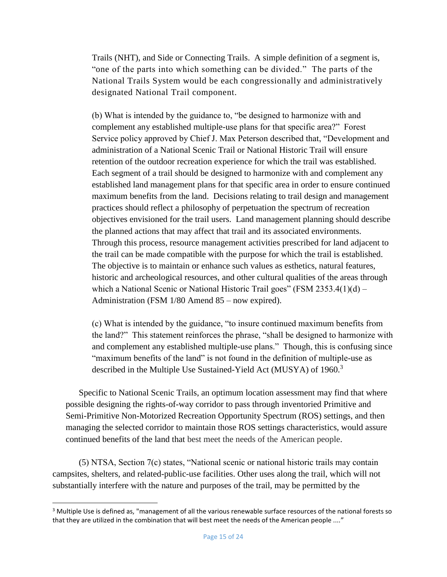Trails (NHT), and Side or Connecting Trails. A simple definition of a segment is, "one of the parts into which something can be divided." The parts of the National Trails System would be each congressionally and administratively designated National Trail component.

(b) What is intended by the guidance to, "be designed to harmonize with and complement any established multiple-use plans for that specific area?" Forest Service policy approved by Chief J. Max Peterson described that, "Development and administration of a National Scenic Trail or National Historic Trail will ensure retention of the outdoor recreation experience for which the trail was established. Each segment of a trail should be designed to harmonize with and complement any established land management plans for that specific area in order to ensure continued maximum benefits from the land. Decisions relating to trail design and management practices should reflect a philosophy of perpetuation the spectrum of recreation objectives envisioned for the trail users. Land management planning should describe the planned actions that may affect that trail and its associated environments. Through this process, resource management activities prescribed for land adjacent to the trail can be made compatible with the purpose for which the trail is established. The objective is to maintain or enhance such values as esthetics, natural features, historic and archeological resources, and other cultural qualities of the areas through which a National Scenic or National Historic Trail goes" (FSM 2353.4(1)(d) – Administration (FSM 1/80 Amend 85 – now expired).

(c) What is intended by the guidance, "to insure continued maximum benefits from the land?" This statement reinforces the phrase, "shall be designed to harmonize with and complement any established multiple-use plans." Though, this is confusing since "maximum benefits of the land" is not found in the definition of multiple-use as described in the Multiple Use Sustained-Yield Act (MUSYA) of 1960.<sup>3</sup>

Specific to National Scenic Trails, an optimum location assessment may find that where possible designing the rights-of-way corridor to pass through inventoried Primitive and Semi-Primitive Non-Motorized Recreation Opportunity Spectrum (ROS) settings, and then managing the selected corridor to maintain those ROS settings characteristics, would assure continued benefits of the land that best meet the needs of the American people.

(5) NTSA, Section 7(c) states, "National scenic or national historic trails may contain campsites, shelters, and related-public-use facilities. Other uses along the trail, which will not substantially interfere with the nature and purposes of the trail, may be permitted by the

l

<sup>&</sup>lt;sup>3</sup> Multiple Use is defined as, "management of all the various renewable surface resources of the national forests so that they are utilized in the combination that will best meet the needs of the American people ...."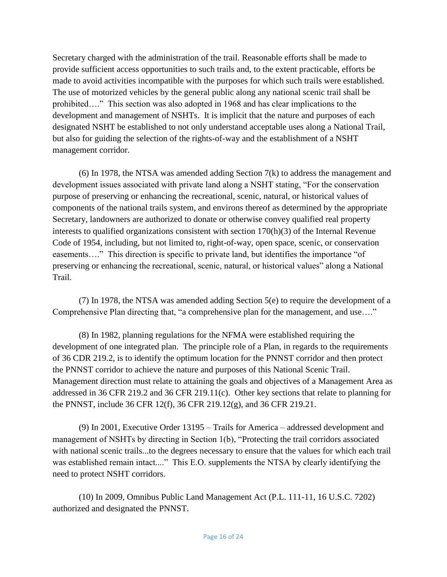Secretary charged with the administration of the trail. Reasonable efforts shall be made to provide sufficient access opportunities to such trails and, to the extent practicable, efforts be made to avoid activities incompatible with the purposes for which such trails were established. The use of motorized vehicles by the general public along any national scenic trail shall be prohibited…." This section was also adopted in 1968 and has clear implications to the development and management of NSHTs. It is implicit that the nature and purposes of each designated NSHT be established to not only understand acceptable uses along a National Trail, but also for guiding the selection of the rights-of-way and the establishment of a NSHT management corridor.

(6) In 1978, the NTSA was amended adding Section 7(k) to address the management and development issues associated with private land along a NSHT stating, "For the conservation purpose of preserving or enhancing the recreational, scenic, natural, or historical values of components of the national trails system, and environs thereof as determined by the appropriate Secretary, landowners are authorized to donate or otherwise convey qualified real property interests to qualified organizations consistent with section 170(h)(3) of the Internal Revenue Code of 1954, including, but not limited to, right-of-way, open space, scenic, or conservation easements…." This direction is specific to private land, but identifies the importance "of preserving or enhancing the recreational, scenic, natural, or historical values" along a National Trail.

(7) In 1978, the NTSA was amended adding Section 5(e) to require the development of a Comprehensive Plan directing that, "a comprehensive plan for the management, and use…."

(8) In 1982, planning regulations for the NFMA were established requiring the development of one integrated plan. The principle role of a Plan, in regards to the requirements of 36 CDR 219.2, is to identify the optimum location for the PNNST corridor and then protect the PNNST corridor to achieve the nature and purposes of this National Scenic Trail. Management direction must relate to attaining the goals and objectives of a Management Area as addressed in 36 CFR 219.2 and 36 CFR 219.11(c). Other key sections that relate to planning for the PNNST, include 36 CFR 12(f), 36 CFR 219.12(g), and 36 CFR 219.21.

(9) In 2001, Executive Order 13195 – Trails for America – addressed development and management of NSHTs by directing in Section 1(b), "Protecting the trail corridors associated with national scenic trails...to the degrees necessary to ensure that the values for which each trail was established remain intact...." This E.O. supplements the NTSA by clearly identifying the need to protect NSHT corridors.

(10) In 2009, Omnibus Public Land Management Act (P.L. 111-11, 16 U.S.C. 7202) authorized and designated the PNNST.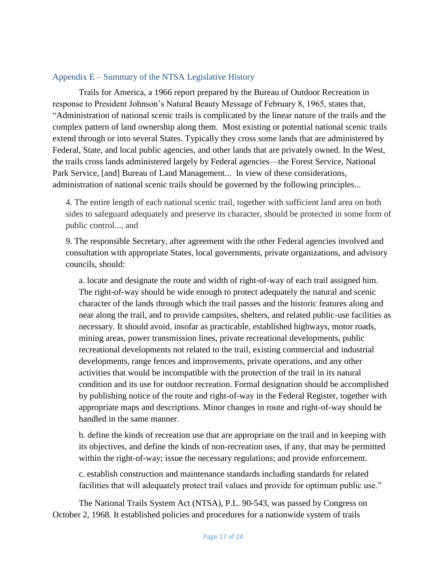#### <span id="page-16-0"></span>Appendix E – Summary of the NTSA Legislative History

Trails for America, a 1966 report prepared by the Bureau of Outdoor Recreation in response to President Johnson's Natural Beauty Message of February 8, 1965, states that, "Administration of national scenic trails is complicated by the linear nature of the trails and the complex pattern of land ownership along them. Most existing or potential national scenic trails extend through or into several States. Typically they cross some lands that are administered by Federal, State, and local public agencies, and other lands that are privately owned. In the West, the trails cross lands administered largely by Federal agencies—the Forest Service, National Park Service, [and] Bureau of Land Management... In view of these considerations, administration of national scenic trails should be governed by the following principles...

4. The entire length of each national scenic trail, together with sufficient land area on both sides to safeguard adequately and preserve its character, should be protected in some form of public control..., and

9. The responsible Secretary, after agreement with the other Federal agencies involved and consultation with appropriate States, local governments, private organizations, and advisory councils, should:

a. locate and designate the route and width of right-of-way of each trail assigned him. The right-of-way should be wide enough to protect adequately the natural and scenic character of the lands through which the trail passes and the historic features along and near along the trail, and to provide campsites, shelters, and related public-use facilities as necessary. It should avoid, insofar as practicable, established highways, motor roads, mining areas, power transmission lines, private recreational developments, public recreational developments not related to the trail, existing commercial and industrial developments, range fences and improvements, private operations, and any other activities that would be incompatible with the protection of the trail in its natural condition and its use for outdoor recreation. Formal designation should be accomplished by publishing notice of the route and right-of-way in the Federal Register, together with appropriate maps and descriptions. Minor changes in route and right-of-way should be handled in the same manner.

b. define the kinds of recreation use that are appropriate on the trail and in keeping with its objectives, and define the kinds of non-recreation uses, if any, that may be permitted within the right-of-way; issue the necessary regulations; and provide enforcement.

c. establish construction and maintenance standards including standards for related facilities that will adequately protect trail values and provide for optimum public use."

The National Trails System Act (NTSA), P.L. 90-543, was passed by Congress on October 2, 1968. It established policies and procedures for a nationwide system of trails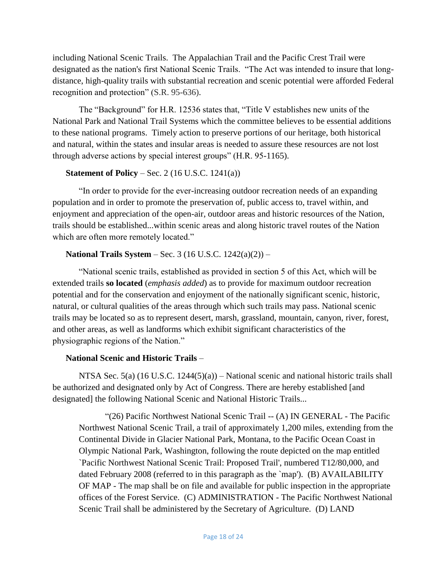including National Scenic Trails. The Appalachian Trail and the Pacific Crest Trail were designated as the nation's first National Scenic Trails. "The Act was intended to insure that longdistance, high-quality trails with substantial recreation and scenic potential were afforded Federal recognition and protection" (S.R. 95-636).

The "Background" for H.R. 12536 states that, "Title V establishes new units of the National Park and National Trail Systems which the committee believes to be essential additions to these national programs. Timely action to preserve portions of our heritage, both historical and natural, within the states and insular areas is needed to assure these resources are not lost through adverse actions by special interest groups" (H.R. 95-1165).

## **Statement of Policy** – Sec. 2 (16 U.S.C. 1241(a))

"In order to provide for the ever-increasing outdoor recreation needs of an expanding population and in order to promote the preservation of, public access to, travel within, and enjoyment and appreciation of the open-air, outdoor areas and historic resources of the Nation, trails should be established...within scenic areas and along historic travel routes of the Nation which are often more remotely located."

# **National Trails System** – Sec. 3 (16 U.S.C. 1242(a)(2)) –

"National scenic trails, established as provided in section 5 of this Act, which will be extended trails **so located** (*emphasis added*) as to provide for maximum outdoor recreation potential and for the conservation and enjoyment of the nationally significant scenic, historic, natural, or cultural qualities of the areas through which such trails may pass. National scenic trails may be located so as to represent desert, marsh, grassland, mountain, canyon, river, forest, and other areas, as well as landforms which exhibit significant characteristics of the physiographic regions of the Nation."

# **National Scenic and Historic Trails** –

NTSA Sec. 5(a) (16 U.S.C. 1244(5)(a)) – National scenic and national historic trails shall be authorized and designated only by Act of Congress. There are hereby established [and designated] the following National Scenic and National Historic Trails...

"(26) Pacific Northwest National Scenic Trail -- (A) IN GENERAL - The Pacific Northwest National Scenic Trail, a trail of approximately 1,200 miles, extending from the Continental Divide in Glacier National Park, Montana, to the Pacific Ocean Coast in Olympic National Park, Washington, following the route depicted on the map entitled `Pacific Northwest National Scenic Trail: Proposed Trail', numbered T12/80,000, and dated February 2008 (referred to in this paragraph as the `map'). (B) AVAILABILITY OF MAP - The map shall be on file and available for public inspection in the appropriate offices of the Forest Service. (C) ADMINISTRATION - The Pacific Northwest National Scenic Trail shall be administered by the Secretary of Agriculture. (D) LAND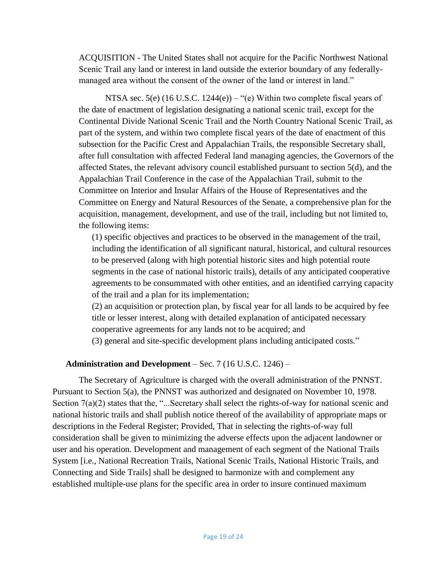ACQUISITION - The United States shall not acquire for the Pacific Northwest National Scenic Trail any land or interest in land outside the exterior boundary of any federallymanaged area without the consent of the owner of the land or interest in land."

NTSA sec. 5(e)  $(16 \text{ U.S.C. } 1244(e)) -$  "(e) Within two complete fiscal years of the date of enactment of legislation designating a national scenic trail, except for the Continental Divide National Scenic Trail and the North Country National Scenic Trail, as part of the system, and within two complete fiscal years of the date of enactment of this subsection for the Pacific Crest and Appalachian Trails, the responsible Secretary shall, after full consultation with affected Federal land managing agencies, the Governors of the affected States, the relevant advisory council established pursuant to section 5(d), and the Appalachian Trail Conference in the case of the Appalachian Trail, submit to the Committee on Interior and Insular Affairs of the House of Representatives and the Committee on Energy and Natural Resources of the Senate, a comprehensive plan for the acquisition, management, development, and use of the trail, including but not limited to, the following items:

(1) specific objectives and practices to be observed in the management of the trail, including the identification of all significant natural, historical, and cultural resources to be preserved (along with high potential historic sites and high potential route segments in the case of national historic trails), details of any anticipated cooperative agreements to be consummated with other entities, and an identified carrying capacity of the trail and a plan for its implementation;

(2) an acquisition or protection plan, by fiscal year for all lands to be acquired by fee title or lesser interest, along with detailed explanation of anticipated necessary cooperative agreements for any lands not to be acquired; and

(3) general and site-specific development plans including anticipated costs."

#### **Administration and Development** – Sec. 7 (16 U.S.C. 1246) –

The Secretary of Agriculture is charged with the overall administration of the PNNST. Pursuant to Section 5(a), the PNNST was authorized and designated on November 10, 1978. Section 7(a)(2) states that the, "...Secretary shall select the rights-of-way for national scenic and national historic trails and shall publish notice thereof of the availability of appropriate maps or descriptions in the Federal Register; Provided, That in selecting the rights-of-way full consideration shall be given to minimizing the adverse effects upon the adjacent landowner or user and his operation. Development and management of each segment of the National Trails System [i.e., National Recreation Trails, National Scenic Trails, National Historic Trails, and Connecting and Side Trails] shall be designed to harmonize with and complement any established multiple-use plans for the specific area in order to insure continued maximum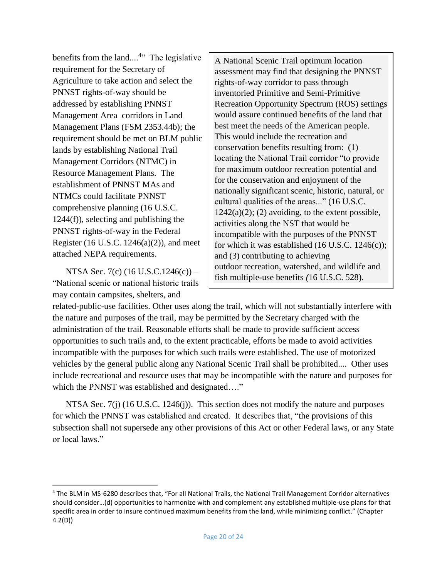benefits from the land....<sup>4</sup>" The legislative requirement for the Secretary of Agriculture to take action and select the PNNST rights-of-way should be addressed by establishing PNNST Management Area corridors in Land Management Plans (FSM 2353.44b); the requirement should be met on BLM public lands by establishing National Trail Management Corridors (NTMC) in Resource Management Plans. The establishment of PNNST MAs and NTMCs could facilitate PNNST comprehensive planning (16 U.S.C. 1244(f)), selecting and publishing the PNNST rights-of-way in the Federal Register (16 U.S.C. 1246(a)(2)), and meet attached NEPA requirements.

NTSA Sec. 7(c) (16 U.S.C.1246(c)) – "National scenic or national historic trails may contain campsites, shelters, and

 $\overline{a}$ 

A National Scenic Trail optimum location assessment may find that designing the PNNST rights-of-way corridor to pass through inventoried Primitive and Semi-Primitive Recreation Opportunity Spectrum (ROS) settings would assure continued benefits of the land that best meet the needs of the American people. This would include the recreation and conservation benefits resulting from: (1) locating the National Trail corridor "to provide for maximum outdoor recreation potential and for the conservation and enjoyment of the nationally significant scenic, historic, natural, or cultural qualities of the areas..." (16 U.S.C.  $1242(a)(2)$ ; (2) avoiding, to the extent possible, activities along the NST that would be incompatible with the purposes of the PNNST for which it was established  $(16$  U.S.C.  $1246(c)$ ; and (3) contributing to achieving outdoor recreation, watershed, and wildlife and fish multiple-use benefits *(*16 U.S.C. 528)*.*

related-public-use facilities. Other uses along the trail, which will not substantially interfere with the nature and purposes of the trail, may be permitted by the Secretary charged with the administration of the trail. Reasonable efforts shall be made to provide sufficient access opportunities to such trails and, to the extent practicable, efforts be made to avoid activities incompatible with the purposes for which such trails were established. The use of motorized vehicles by the general public along any National Scenic Trail shall be prohibited.... Other uses include recreational and resource uses that may be incompatible with the nature and purposes for which the PNNST was established and designated...."

NTSA Sec. 7(j) (16 U.S.C. 1246(j)). This section does not modify the nature and purposes for which the PNNST was established and created. It describes that, "the provisions of this subsection shall not supersede any other provisions of this Act or other Federal laws, or any State or local laws."

<sup>4</sup> The BLM in MS-6280 describes that, "For all National Trails, the National Trail Management Corridor alternatives should consider…(d) opportunities to harmonize with and complement any established multiple-use plans for that specific area in order to insure continued maximum benefits from the land, while minimizing conflict." (Chapter 4.2(D))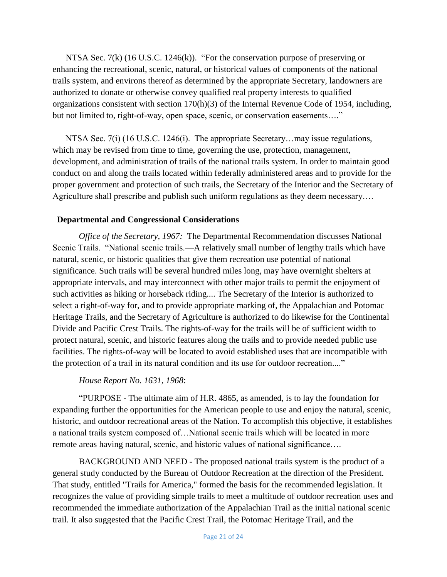NTSA Sec. 7(k) (16 U.S.C. 1246(k)). "For the conservation purpose of preserving or enhancing the recreational, scenic, natural, or historical values of components of the national trails system, and environs thereof as determined by the appropriate Secretary, landowners are authorized to donate or otherwise convey qualified real property interests to qualified organizations consistent with section 170(h)(3) of the Internal Revenue Code of 1954, including, but not limited to, right-of-way, open space, scenic, or conservation easements...."

NTSA Sec. 7(i) (16 U.S.C. 1246(i). The appropriate Secretary...may issue regulations, which may be revised from time to time, governing the use, protection, management, development, and administration of trails of the national trails system. In order to maintain good conduct on and along the trails located within federally administered areas and to provide for the proper government and protection of such trails, the Secretary of the Interior and the Secretary of Agriculture shall prescribe and publish such uniform regulations as they deem necessary….

#### **Departmental and Congressional Considerations**

*Office of the Secretary, 1967:* The Departmental Recommendation discusses National Scenic Trails. "National scenic trails.—A relatively small number of lengthy trails which have natural, scenic, or historic qualities that give them recreation use potential of national significance. Such trails will be several hundred miles long, may have overnight shelters at appropriate intervals, and may interconnect with other major trails to permit the enjoyment of such activities as hiking or horseback riding.... The Secretary of the Interior is authorized to select a right-of-way for, and to provide appropriate marking of, the Appalachian and Potomac Heritage Trails, and the Secretary of Agriculture is authorized to do likewise for the Continental Divide and Pacific Crest Trails. The rights-of-way for the trails will be of sufficient width to protect natural, scenic, and historic features along the trails and to provide needed public use facilities. The rights-of-way will be located to avoid established uses that are incompatible with the protection of a trail in its natural condition and its use for outdoor recreation...."

# *House Report No. 1631, 1968*:

"PURPOSE - The ultimate aim of H.R. 4865, as amended, is to lay the foundation for expanding further the opportunities for the American people to use and enjoy the natural, scenic, historic, and outdoor recreational areas of the Nation. To accomplish this objective, it establishes a national trails system composed of…National scenic trails which will be located in more remote areas having natural, scenic, and historic values of national significance….

BACKGROUND AND NEED - The proposed national trails system is the product of a general study conducted by the Bureau of Outdoor Recreation at the direction of the President. That study, entitled "Trails for America," formed the basis for the recommended legislation. It recognizes the value of providing simple trails to meet a multitude of outdoor recreation uses and recommended the immediate authorization of the Appalachian Trail as the initial national scenic trail. It also suggested that the Pacific Crest Trail, the Potomac Heritage Trail, and the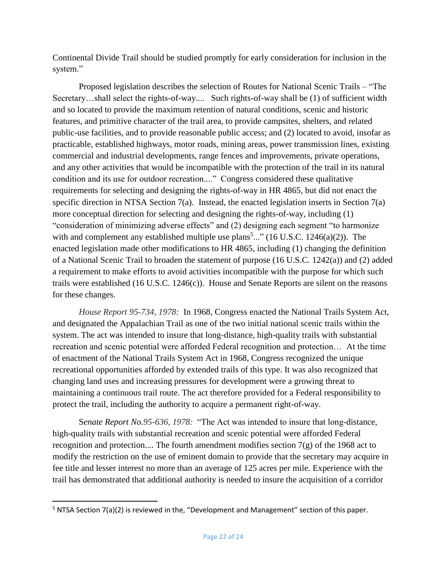Continental Divide Trail should be studied promptly for early consideration for inclusion in the system."

Proposed legislation describes the *s*election of Routes for National Scenic Trails – "The Secretary…shall select the rights-of-way.... Such rights-of-way shall be (1) of sufficient width and so located to provide the maximum retention of natural conditions, scenic and historic features, and primitive character of the trail area, to provide campsites, shelters, and related public-use facilities, and to provide reasonable public access; and (2) located to avoid, insofar as practicable, established highways, motor roads, mining areas, power transmission lines, existing commercial and industrial developments, range fences and improvements, private operations, and any other activities that would be incompatible with the protection of the trail in its natural condition and its use for outdoor recreation...." Congress considered these qualitative requirements for selecting and designing the rights-of-way in HR 4865, but did not enact the specific direction in NTSA Section 7(a). Instead, the enacted legislation inserts in Section 7(a) more conceptual direction for selecting and designing the rights-of-way, including (1) "consideration of minimizing adverse effects" and (2) designing each segment "to harmonize with and complement any established multiple use plans<sup>5</sup>..." (16 U.S.C. 1246(a)(2)). The enacted legislation made other modifications to HR 4865, including (1) changing the definition of a National Scenic Trail to broaden the statement of purpose (16 U.S.C. 1242(a)) and (2) added a requirement to make efforts to avoid activities incompatible with the purpose for which such trails were established (16 U.S.C. 1246(c)). House and Senate Reports are silent on the reasons for these changes.

*House Report 95-734, 1978:* In 1968, Congress enacted the National Trails System Act, and designated the Appalachian Trail as one of the two initial national scenic trails within the system. The act was intended to insure that long-distance, high-quality trails with substantial recreation and scenic potential were afforded Federal recognition and protection… At the time of enactment of the National Trails System Act in 1968, Congress recognized the unique recreational opportunities afforded by extended trails of this type. It was also recognized that changing land uses and increasing pressures for development were a growing threat to maintaining a continuous trail route. The act therefore provided for a Federal responsibility to protect the trail, including the authority to acquire a permanent right-of-way.

S*enate Report No.95-636, 1978:* "The Act was intended to insure that long-distance, high-quality trails with substantial recreation and scenic potential were afforded Federal recognition and protection.... The fourth amendment modifies section 7(g) of the 1968 act to modify the restriction on the use of eminent domain to provide that the secretary may acquire in fee title and lesser interest no more than an average of 125 acres per mile. Experience with the trail has demonstrated that additional authority is needed to insure the acquisition of a corridor

l  $5$  NTSA Section 7(a)(2) is reviewed in the, "Development and Management" section of this paper.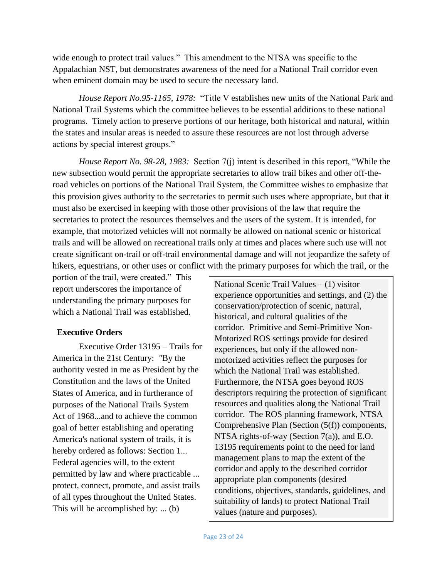wide enough to protect trail values." This amendment to the NTSA was specific to the Appalachian NST, but demonstrates awareness of the need for a National Trail corridor even when eminent domain may be used to secure the necessary land.

*House Report No.95-1165, 1978:* "Title V establishes new units of the National Park and National Trail Systems which the committee believes to be essential additions to these national programs. Timely action to preserve portions of our heritage, both historical and natural, within the states and insular areas is needed to assure these resources are not lost through adverse actions by special interest groups."

*House Report No. 98-28, 1983:* Section 7(j) intent is described in this report, "While the new subsection would permit the appropriate secretaries to allow trail bikes and other off-theroad vehicles on portions of the National Trail System, the Committee wishes to emphasize that this provision gives authority to the secretaries to permit such uses where appropriate, but that it must also be exercised in keeping with those other provisions of the law that require the secretaries to protect the resources themselves and the users of the system. It is intended, for example, that motorized vehicles will not normally be allowed on national scenic or historical trails and will be allowed on recreational trails only at times and places where such use will not create significant on-trail or off-trail environmental damage and will not jeopardize the safety of hikers, equestrians, or other uses or conflict with the primary purposes for which the trail, or the

portion of the trail, were created." This report underscores the importance of understanding the primary purposes for which a National Trail was established.

# **Executive Orders**

Executive Order 13195 – Trails for America in the 21st Century: *"*By the authority vested in me as President by the Constitution and the laws of the United States of America, and in furtherance of purposes of the National Trails System Act of 1968...and to achieve the common goal of better establishing and operating America's national system of trails, it is hereby ordered as follows: Section 1... Federal agencies will, to the extent permitted by law and where practicable ... protect, connect, promote, and assist trails of all types throughout the United States. This will be accomplished by: ... (b)

National Scenic Trail Values – (1) visitor experience opportunities and settings, and (2) the conservation/protection of scenic, natural, historical, and cultural qualities of the corridor. Primitive and Semi-Primitive Non-Motorized ROS settings provide for desired experiences, but only if the allowed nonmotorized activities reflect the purposes for which the National Trail was established. Furthermore, the NTSA goes beyond ROS descriptors requiring the protection of significant resources and qualities along the National Trail corridor. The ROS planning framework, NTSA Comprehensive Plan (Section (5(f)) components, NTSA rights-of-way (Section 7(a)), and E.O. 13195 requirements point to the need for land management plans to map the extent of the corridor and apply to the described corridor appropriate plan components (desired conditions, objectives, standards, guidelines, and suitability of lands) to protect National Trail values (nature and purposes).